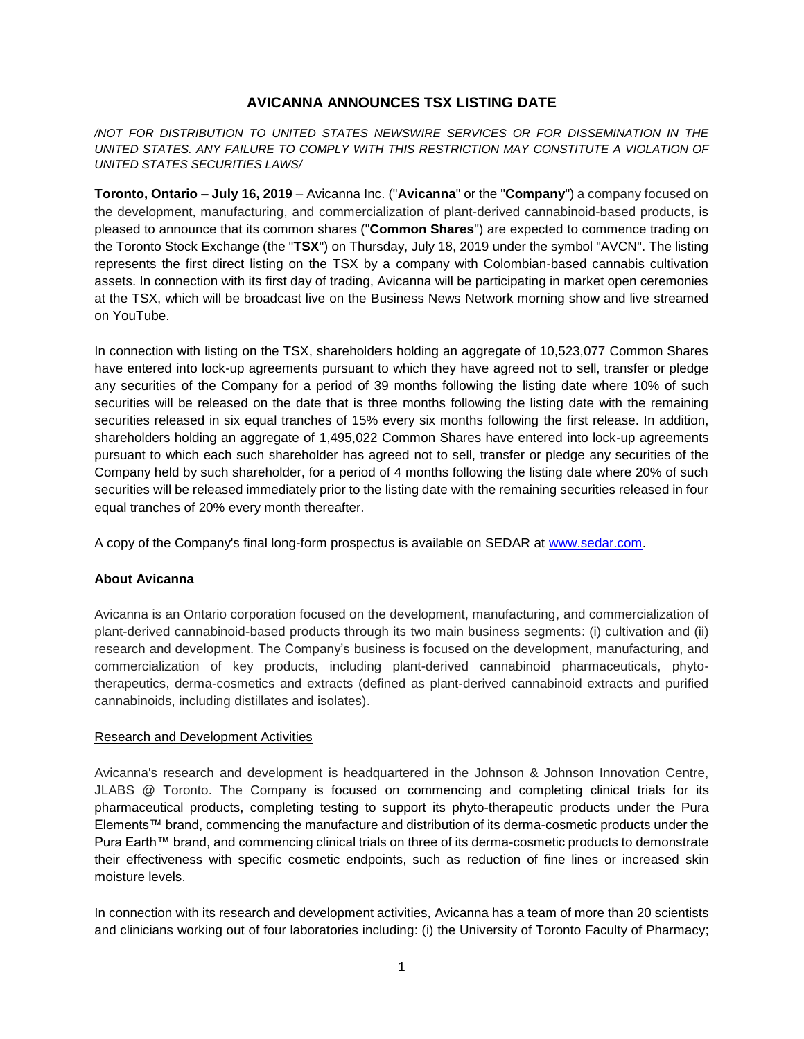# **AVICANNA ANNOUNCES TSX LISTING DATE**

*/NOT FOR DISTRIBUTION TO UNITED STATES NEWSWIRE SERVICES OR FOR DISSEMINATION IN THE UNITED STATES. ANY FAILURE TO COMPLY WITH THIS RESTRICTION MAY CONSTITUTE A VIOLATION OF UNITED STATES SECURITIES LAWS/*

**Toronto, Ontario – July 16, 2019** – Avicanna Inc. ("**Avicanna**" or the "**Company**") a company focused on the development, manufacturing, and commercialization of plant-derived cannabinoid-based products, is pleased to announce that its common shares ("**Common Shares**") are expected to commence trading on the Toronto Stock Exchange (the "**TSX**") on Thursday, July 18, 2019 under the symbol "AVCN". The listing represents the first direct listing on the TSX by a company with Colombian-based cannabis cultivation assets. In connection with its first day of trading, Avicanna will be participating in market open ceremonies at the TSX, which will be broadcast live on the Business News Network morning show and live streamed on YouTube.

In connection with listing on the TSX, shareholders holding an aggregate of 10,523,077 Common Shares have entered into lock-up agreements pursuant to which they have agreed not to sell, transfer or pledge any securities of the Company for a period of 39 months following the listing date where 10% of such securities will be released on the date that is three months following the listing date with the remaining securities released in six equal tranches of 15% every six months following the first release. In addition, shareholders holding an aggregate of 1,495,022 Common Shares have entered into lock-up agreements pursuant to which each such shareholder has agreed not to sell, transfer or pledge any securities of the Company held by such shareholder, for a period of 4 months following the listing date where 20% of such securities will be released immediately prior to the listing date with the remaining securities released in four equal tranches of 20% every month thereafter.

A copy of the Company's final long-form prospectus is available on SEDAR at [www.sedar.com.](http://www.sedar.com/)

## **About Avicanna**

Avicanna is an Ontario corporation focused on the development, manufacturing, and commercialization of plant-derived cannabinoid-based products through its two main business segments: (i) cultivation and (ii) research and development. The Company's business is focused on the development, manufacturing, and commercialization of key products, including plant-derived cannabinoid pharmaceuticals, phytotherapeutics, derma-cosmetics and extracts (defined as plant-derived cannabinoid extracts and purified cannabinoids, including distillates and isolates).

#### Research and Development Activities

Avicanna's research and development is headquartered in the Johnson & Johnson Innovation Centre, JLABS @ Toronto. The Company is focused on commencing and completing clinical trials for its pharmaceutical products, completing testing to support its phyto-therapeutic products under the Pura Elements™ brand, commencing the manufacture and distribution of its derma-cosmetic products under the Pura Earth™ brand, and commencing clinical trials on three of its derma-cosmetic products to demonstrate their effectiveness with specific cosmetic endpoints, such as reduction of fine lines or increased skin moisture levels.

In connection with its research and development activities, Avicanna has a team of more than 20 scientists and clinicians working out of four laboratories including: (i) the University of Toronto Faculty of Pharmacy;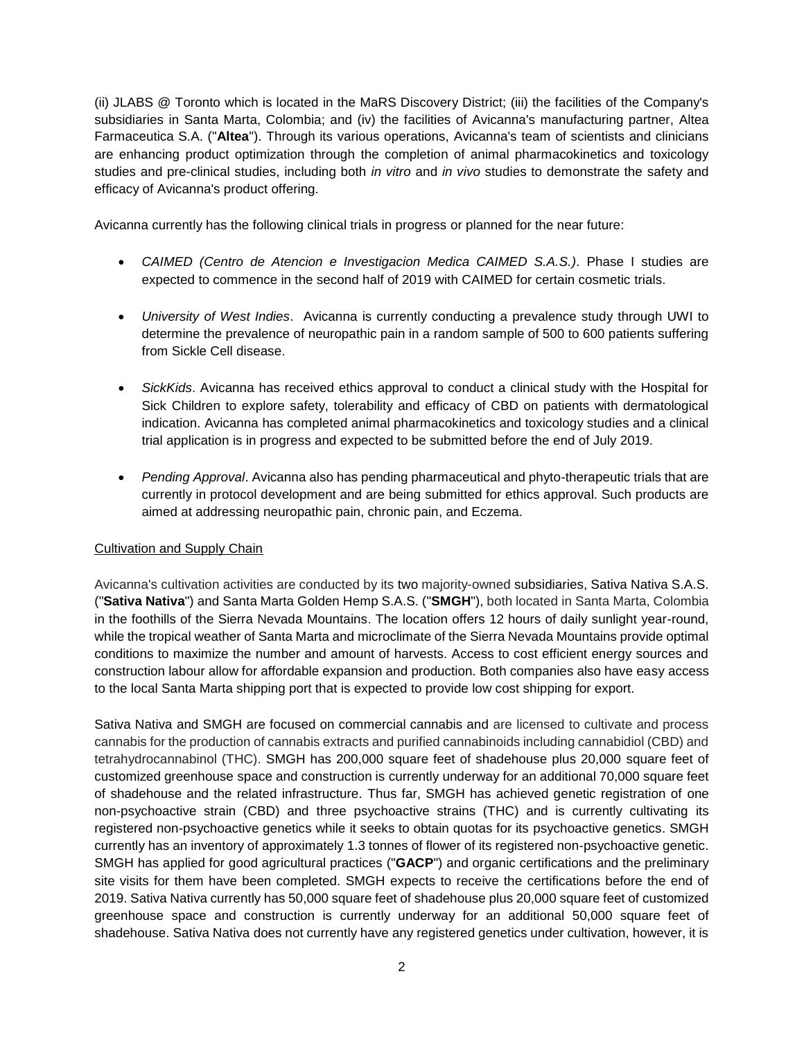(ii) JLABS @ Toronto which is located in the MaRS Discovery District; (iii) the facilities of the Company's subsidiaries in Santa Marta, Colombia; and (iv) the facilities of Avicanna's manufacturing partner, Altea Farmaceutica S.A. ("**Altea**"). Through its various operations, Avicanna's team of scientists and clinicians are enhancing product optimization through the completion of animal pharmacokinetics and toxicology studies and pre-clinical studies, including both *in vitro* and *in vivo* studies to demonstrate the safety and efficacy of Avicanna's product offering.

Avicanna currently has the following clinical trials in progress or planned for the near future:

- *CAIMED (Centro de Atencion e Investigacion Medica CAIMED S.A.S.)*. Phase I studies are expected to commence in the second half of 2019 with CAIMED for certain cosmetic trials.
- *University of West Indies*. Avicanna is currently conducting a prevalence study through UWI to determine the prevalence of neuropathic pain in a random sample of 500 to 600 patients suffering from Sickle Cell disease.
- *SickKids*. Avicanna has received ethics approval to conduct a clinical study with the Hospital for Sick Children to explore safety, tolerability and efficacy of CBD on patients with dermatological indication. Avicanna has completed animal pharmacokinetics and toxicology studies and a clinical trial application is in progress and expected to be submitted before the end of July 2019.
- *Pending Approval*. Avicanna also has pending pharmaceutical and phyto-therapeutic trials that are currently in protocol development and are being submitted for ethics approval. Such products are aimed at addressing neuropathic pain, chronic pain, and Eczema.

## Cultivation and Supply Chain

Avicanna's cultivation activities are conducted by its two majority-owned subsidiaries, Sativa Nativa S.A.S. ("**Sativa Nativa**") and Santa Marta Golden Hemp S.A.S. ("**SMGH**"), both located in Santa Marta, Colombia in the foothills of the Sierra Nevada Mountains. The location offers 12 hours of daily sunlight year-round, while the tropical weather of Santa Marta and microclimate of the Sierra Nevada Mountains provide optimal conditions to maximize the number and amount of harvests. Access to cost efficient energy sources and construction labour allow for affordable expansion and production. Both companies also have easy access to the local Santa Marta shipping port that is expected to provide low cost shipping for export.

Sativa Nativa and SMGH are focused on commercial cannabis and are licensed to cultivate and process cannabis for the production of cannabis extracts and purified cannabinoids including cannabidiol (CBD) and tetrahydrocannabinol (THC). SMGH has 200,000 square feet of shadehouse plus 20,000 square feet of customized greenhouse space and construction is currently underway for an additional 70,000 square feet of shadehouse and the related infrastructure. Thus far, SMGH has achieved genetic registration of one non-psychoactive strain (CBD) and three psychoactive strains (THC) and is currently cultivating its registered non-psychoactive genetics while it seeks to obtain quotas for its psychoactive genetics. SMGH currently has an inventory of approximately 1.3 tonnes of flower of its registered non-psychoactive genetic. SMGH has applied for good agricultural practices ("**GACP**") and organic certifications and the preliminary site visits for them have been completed. SMGH expects to receive the certifications before the end of 2019. Sativa Nativa currently has 50,000 square feet of shadehouse plus 20,000 square feet of customized greenhouse space and construction is currently underway for an additional 50,000 square feet of shadehouse. Sativa Nativa does not currently have any registered genetics under cultivation, however, it is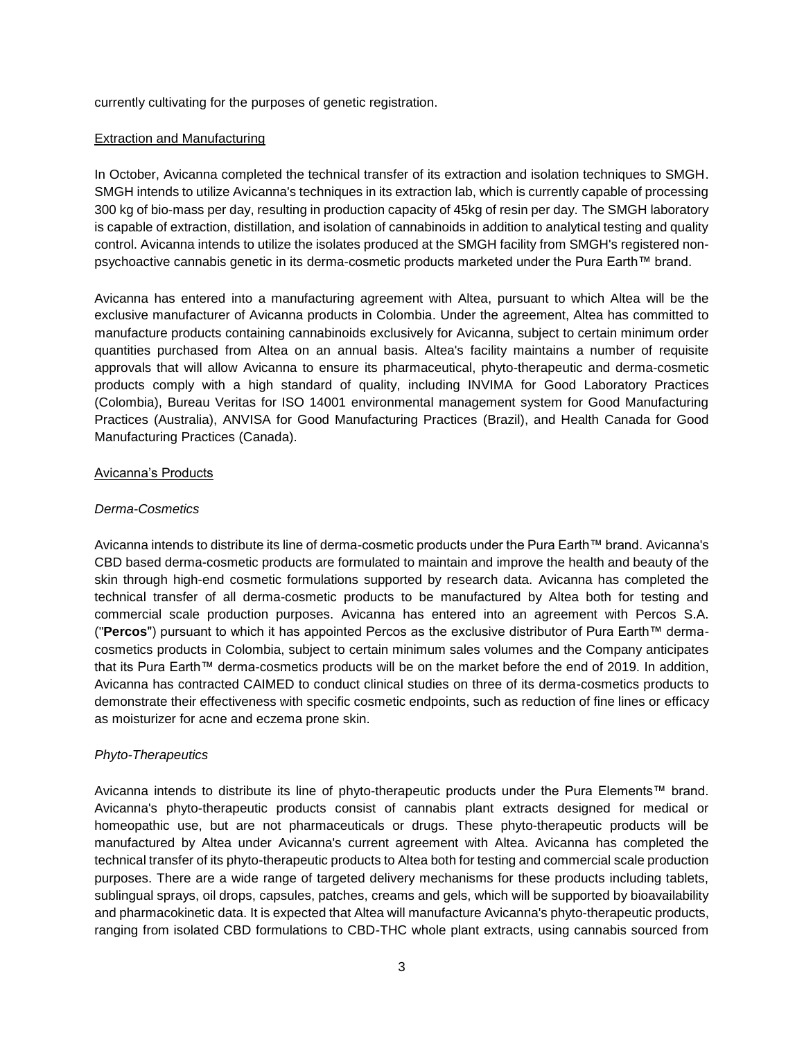currently cultivating for the purposes of genetic registration.

### Extraction and Manufacturing

In October, Avicanna completed the technical transfer of its extraction and isolation techniques to SMGH. SMGH intends to utilize Avicanna's techniques in its extraction lab, which is currently capable of processing 300 kg of bio-mass per day, resulting in production capacity of 45kg of resin per day. The SMGH laboratory is capable of extraction, distillation, and isolation of cannabinoids in addition to analytical testing and quality control. Avicanna intends to utilize the isolates produced at the SMGH facility from SMGH's registered nonpsychoactive cannabis genetic in its derma-cosmetic products marketed under the Pura Earth™ brand.

Avicanna has entered into a manufacturing agreement with Altea, pursuant to which Altea will be the exclusive manufacturer of Avicanna products in Colombia. Under the agreement, Altea has committed to manufacture products containing cannabinoids exclusively for Avicanna, subject to certain minimum order quantities purchased from Altea on an annual basis. Altea's facility maintains a number of requisite approvals that will allow Avicanna to ensure its pharmaceutical, phyto-therapeutic and derma-cosmetic products comply with a high standard of quality, including INVIMA for Good Laboratory Practices (Colombia), Bureau Veritas for ISO 14001 environmental management system for Good Manufacturing Practices (Australia), ANVISA for Good Manufacturing Practices (Brazil), and Health Canada for Good Manufacturing Practices (Canada).

### Avicanna's Products

### *Derma-Cosmetics*

Avicanna intends to distribute its line of derma-cosmetic products under the Pura Earth™ brand. Avicanna's CBD based derma-cosmetic products are formulated to maintain and improve the health and beauty of the skin through high-end cosmetic formulations supported by research data. Avicanna has completed the technical transfer of all derma-cosmetic products to be manufactured by Altea both for testing and commercial scale production purposes. Avicanna has entered into an agreement with Percos S.A. ("**Percos**") pursuant to which it has appointed Percos as the exclusive distributor of Pura Earth™ dermacosmetics products in Colombia, subject to certain minimum sales volumes and the Company anticipates that its Pura Earth™ derma-cosmetics products will be on the market before the end of 2019. In addition, Avicanna has contracted CAIMED to conduct clinical studies on three of its derma-cosmetics products to demonstrate their effectiveness with specific cosmetic endpoints, such as reduction of fine lines or efficacy as moisturizer for acne and eczema prone skin.

## *Phyto-Therapeutics*

Avicanna intends to distribute its line of phyto-therapeutic products under the Pura Elements™ brand. Avicanna's phyto-therapeutic products consist of cannabis plant extracts designed for medical or homeopathic use, but are not pharmaceuticals or drugs. These phyto-therapeutic products will be manufactured by Altea under Avicanna's current agreement with Altea. Avicanna has completed the technical transfer of its phyto-therapeutic products to Altea both for testing and commercial scale production purposes. There are a wide range of targeted delivery mechanisms for these products including tablets, sublingual sprays, oil drops, capsules, patches, creams and gels, which will be supported by bioavailability and pharmacokinetic data. It is expected that Altea will manufacture Avicanna's phyto-therapeutic products, ranging from isolated CBD formulations to CBD-THC whole plant extracts, using cannabis sourced from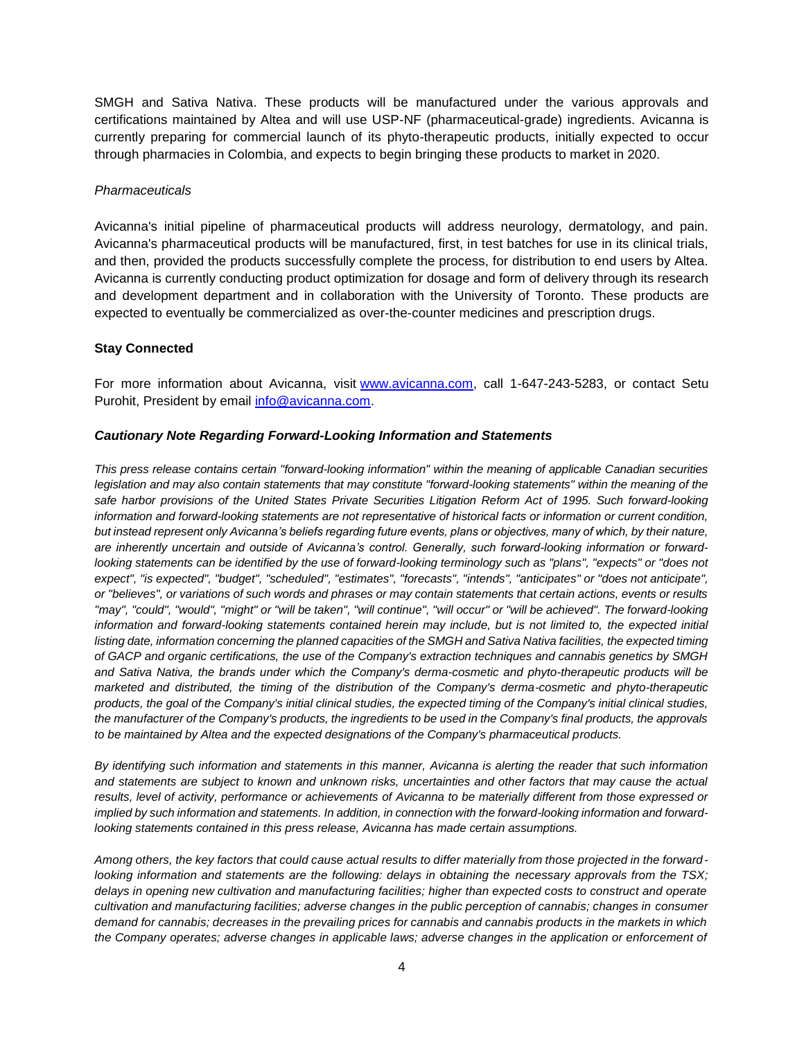SMGH and Sativa Nativa. These products will be manufactured under the various approvals and certifications maintained by Altea and will use USP-NF (pharmaceutical-grade) ingredients. Avicanna is currently preparing for commercial launch of its phyto-therapeutic products, initially expected to occur through pharmacies in Colombia, and expects to begin bringing these products to market in 2020.

#### *Pharmaceuticals*

Avicanna's initial pipeline of pharmaceutical products will address neurology, dermatology, and pain. Avicanna's pharmaceutical products will be manufactured, first, in test batches for use in its clinical trials, and then, provided the products successfully complete the process, for distribution to end users by Altea. Avicanna is currently conducting product optimization for dosage and form of delivery through its research and development department and in collaboration with the University of Toronto. These products are expected to eventually be commercialized as over-the-counter medicines and prescription drugs.

## **Stay Connected**

For more information about Avicanna, visit [www.avicanna.com,](http://www.avicanna.com/) call 1-647-243-5283, or contact Setu Purohit, President by email [info@avicanna.com.](mailto:info@avicanna.com)

### *Cautionary Note Regarding Forward-Looking Information and Statements*

*This press release contains certain "forward-looking information" within the meaning of applicable Canadian securities legislation and may also contain statements that may constitute "forward-looking statements" within the meaning of the*  safe harbor provisions of the United States Private Securities Litigation Reform Act of 1995. Such forward-looking *information and forward-looking statements are not representative of historical facts or information or current condition, but instead represent only Avicanna's beliefs regarding future events, plans or objectives, many of which, by their nature, are inherently uncertain and outside of Avicanna's control. Generally, such forward-looking information or forwardlooking statements can be identified by the use of forward-looking terminology such as "plans", "expects" or "does not expect", "is expected", "budget", "scheduled", "estimates", "forecasts", "intends", "anticipates" or "does not anticipate", or "believes", or variations of such words and phrases or may contain statements that certain actions, events or results "may", "could", "would", "might" or "will be taken", "will continue", "will occur" or "will be achieved". The forward-looking information and forward-looking statements contained herein may include, but is not limited to, the expected initial listing date, information concerning the planned capacities of the SMGH and Sativa Nativa facilities, the expected timing of GACP and organic certifications, the use of the Company's extraction techniques and cannabis genetics by SMGH and Sativa Nativa, the brands under which the Company's derma-cosmetic and phyto-therapeutic products will be marketed and distributed, the timing of the distribution of the Company's derma-cosmetic and phyto-therapeutic products, the goal of the Company's initial clinical studies, the expected timing of the Company's initial clinical studies, the manufacturer of the Company's products, the ingredients to be used in the Company's final products, the approvals to be maintained by Altea and the expected designations of the Company's pharmaceutical products.*

*By identifying such information and statements in this manner, Avicanna is alerting the reader that such information and statements are subject to known and unknown risks, uncertainties and other factors that may cause the actual results, level of activity, performance or achievements of Avicanna to be materially different from those expressed or implied by such information and statements. In addition, in connection with the forward-looking information and forwardlooking statements contained in this press release, Avicanna has made certain assumptions.*

*Among others, the key factors that could cause actual results to differ materially from those projected in the forwardlooking information and statements are the following: delays in obtaining the necessary approvals from the TSX; delays in opening new cultivation and manufacturing facilities; higher than expected costs to construct and operate cultivation and manufacturing facilities; adverse changes in the public perception of cannabis; changes in consumer demand for cannabis; decreases in the prevailing prices for cannabis and cannabis products in the markets in which*  the Company operates; adverse changes in applicable laws; adverse changes in the application or enforcement of